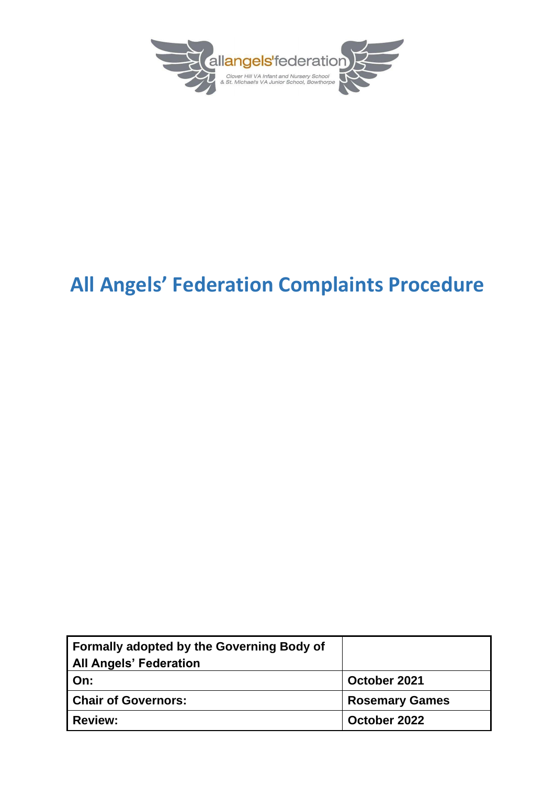

# **All Angels' Federation Complaints Procedure**

| Formally adopted by the Governing Body of |                       |
|-------------------------------------------|-----------------------|
| <b>All Angels' Federation</b>             |                       |
| On:                                       | October 2021          |
| <b>Chair of Governors:</b>                | <b>Rosemary Games</b> |
| <b>Review:</b>                            | October 2022          |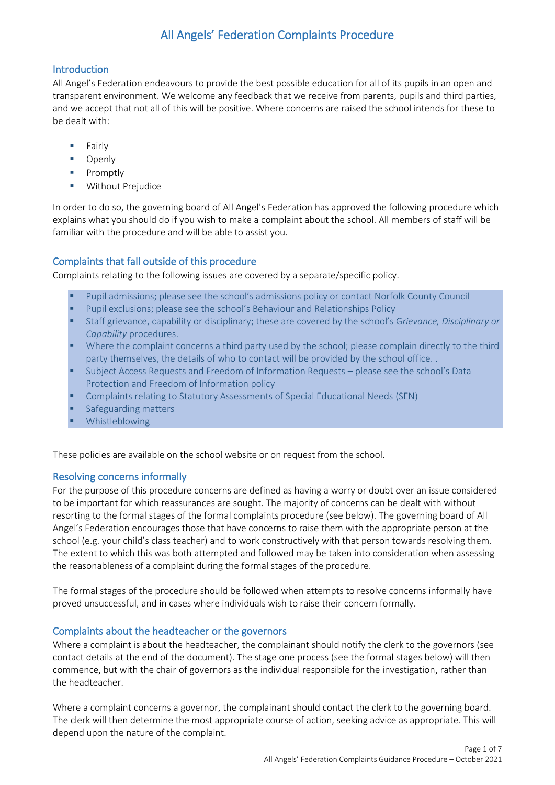### All Angels' Federation Complaints Procedure

#### Introduction

All Angel's Federation endeavours to provide the best possible education for all of its pupils in an open and transparent environment. We welcome any feedback that we receive from parents, pupils and third parties, and we accept that not all of this will be positive. Where concerns are raised the school intends for these to be dealt with:

- **Fairly**
- Openly
- Promptly
- **Without Prejudice**

In order to do so, the governing board of All Angel's Federation has approved the following procedure which explains what you should do if you wish to make a complaint about the school. All members of staff will be familiar with the procedure and will be able to assist you.

#### Complaints that fall outside of this procedure

Complaints relating to the following issues are covered by a separate/specific policy.

- Pupil admissions; please see the school's admissions policy or contact Norfolk County Council
- Pupil exclusions; please see the school's Behaviour and Relationships Policy
- Staff grievance, capability or disciplinary; these are covered by the school's G*rievance, Disciplinary or Capability* procedures.
- Where the complaint concerns a third party used by the school; please complain directly to the third party themselves, the details of who to contact will be provided by the school office. .
- **EXECT:** Subject Access Requests and Freedom of Information Requests please see the school's Data Protection and Freedom of Information policy
- **Complaints relating to Statutory Assessments of Special Educational Needs (SEN)**
- Safeguarding matters
- **Whistleblowing**

These policies are available on the school website or on request from the school.

#### Resolving concerns informally

For the purpose of this procedure concerns are defined as having a worry or doubt over an issue considered to be important for which reassurances are sought. The majority of concerns can be dealt with without resorting to the formal stages of the formal complaints procedure (see below). The governing board of All Angel's Federation encourages those that have concerns to raise them with the appropriate person at the school (e.g. your child's class teacher) and to work constructively with that person towards resolving them. The extent to which this was both attempted and followed may be taken into consideration when assessing the reasonableness of a complaint during the formal stages of the procedure.

The formal stages of the procedure should be followed when attempts to resolve concerns informally have proved unsuccessful, and in cases where individuals wish to raise their concern formally.

#### Complaints about the headteacher or the governors

Where a complaint is about the headteacher, the complainant should notify the clerk to the governors (see contact details at the end of the document). The stage one process (see the formal stages below) will then commence, but with the chair of governors as the individual responsible for the investigation, rather than the headteacher.

Where a complaint concerns a governor, the complainant should contact the clerk to the governing board. The clerk will then determine the most appropriate course of action, seeking advice as appropriate. This will depend upon the nature of the complaint.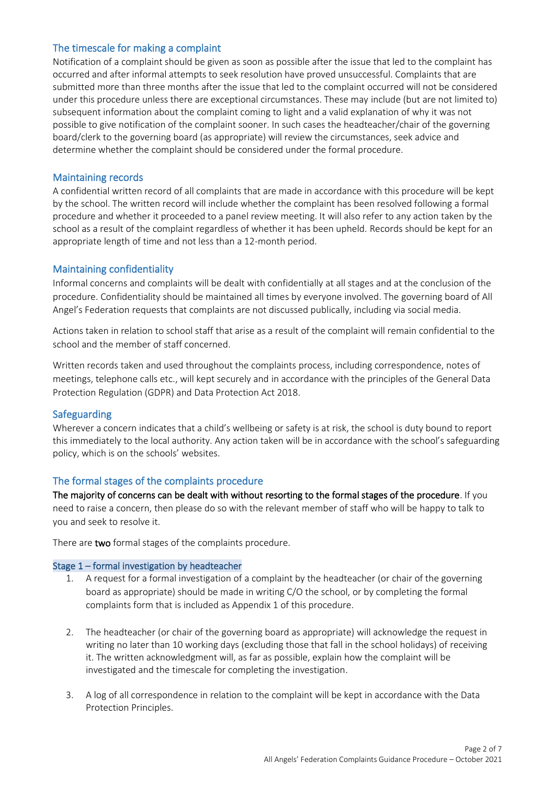#### The timescale for making a complaint

Notification of a complaint should be given as soon as possible after the issue that led to the complaint has occurred and after informal attempts to seek resolution have proved unsuccessful. Complaints that are submitted more than three months after the issue that led to the complaint occurred will not be considered under this procedure unless there are exceptional circumstances. These may include (but are not limited to) subsequent information about the complaint coming to light and a valid explanation of why it was not possible to give notification of the complaint sooner. In such cases the headteacher/chair of the governing board/clerk to the governing board (as appropriate) will review the circumstances, seek advice and determine whether the complaint should be considered under the formal procedure.

#### Maintaining records

A confidential written record of all complaints that are made in accordance with this procedure will be kept by the school. The written record will include whether the complaint has been resolved following a formal procedure and whether it proceeded to a panel review meeting. It will also refer to any action taken by the school as a result of the complaint regardless of whether it has been upheld. Records should be kept for an appropriate length of time and not less than a 12-month period.

#### Maintaining confidentiality

Informal concerns and complaints will be dealt with confidentially at all stages and at the conclusion of the procedure. Confidentiality should be maintained all times by everyone involved. The governing board of All Angel's Federation requests that complaints are not discussed publically, including via social media.

Actions taken in relation to school staff that arise as a result of the complaint will remain confidential to the school and the member of staff concerned.

Written records taken and used throughout the complaints process, including correspondence, notes of meetings, telephone calls etc., will kept securely and in accordance with the principles of the General Data Protection Regulation (GDPR) and Data Protection Act 2018.

#### Safeguarding

Wherever a concern indicates that a child's wellbeing or safety is at risk, the school is duty bound to report this immediately to the local authority. Any action taken will be in accordance with the school's safeguarding policy, which is on the schools' websites.

#### The formal stages of the complaints procedure

The majority of concerns can be dealt with without resorting to the formal stages of the procedure. If you need to raise a concern, then please do so with the relevant member of staff who will be happy to talk to you and seek to resolve it.

There are two formal stages of the complaints procedure.

#### Stage 1 – formal investigation by headteacher

- 1. A request for a formal investigation of a complaint by the headteacher (or chair of the governing board as appropriate) should be made in writing C/O the school, or by completing the formal complaints form that is included as Appendix 1 of this procedure.
- 2. The headteacher (or chair of the governing board as appropriate) will acknowledge the request in writing no later than 10 working days (excluding those that fall in the school holidays) of receiving it. The written acknowledgment will, as far as possible, explain how the complaint will be investigated and the timescale for completing the investigation.
- 3. A log of all correspondence in relation to the complaint will be kept in accordance with the Data Protection Principles.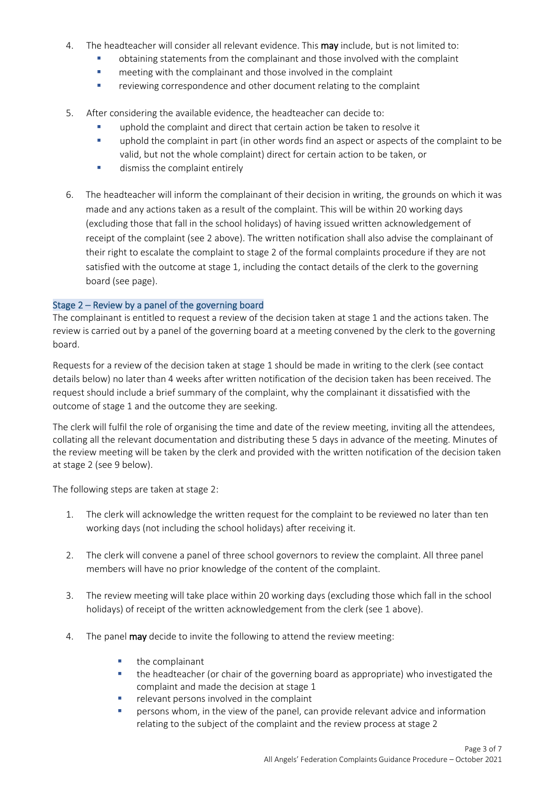- 4. The headteacher will consider all relevant evidence. This may include, but is not limited to:
	- obtaining statements from the complainant and those involved with the complaint
	- meeting with the complainant and those involved in the complaint
	- **EXECTE FIGHTS TEAM** reviewing correspondence and other document relating to the complaint
- 5. After considering the available evidence, the headteacher can decide to:
	- uphold the complaint and direct that certain action be taken to resolve it
	- **•** uphold the complaint in part (in other words find an aspect or aspects of the complaint to be valid, but not the whole complaint) direct for certain action to be taken, or
	- **■** dismiss the complaint entirely
- 6. The headteacher will inform the complainant of their decision in writing, the grounds on which it was made and any actions taken as a result of the complaint. This will be within 20 working days (excluding those that fall in the school holidays) of having issued written acknowledgement of receipt of the complaint (see 2 above). The written notification shall also advise the complainant of their right to escalate the complaint to stage 2 of the formal complaints procedure if they are not satisfied with the outcome at stage 1, including the contact details of the clerk to the governing board (see page).

#### Stage 2 – Review by a panel of the governing board

The complainant is entitled to request a review of the decision taken at stage 1 and the actions taken. The review is carried out by a panel of the governing board at a meeting convened by the clerk to the governing board.

Requests for a review of the decision taken at stage 1 should be made in writing to the clerk (see contact details below) no later than 4 weeks after written notification of the decision taken has been received. The request should include a brief summary of the complaint, why the complainant it dissatisfied with the outcome of stage 1 and the outcome they are seeking.

The clerk will fulfil the role of organising the time and date of the review meeting, inviting all the attendees, collating all the relevant documentation and distributing these 5 days in advance of the meeting. Minutes of the review meeting will be taken by the clerk and provided with the written notification of the decision taken at stage 2 (see 9 below).

The following steps are taken at stage 2:

- 1. The clerk will acknowledge the written request for the complaint to be reviewed no later than ten working days (not including the school holidays) after receiving it.
- 2. The clerk will convene a panel of three school governors to review the complaint. All three panel members will have no prior knowledge of the content of the complaint.
- 3. The review meeting will take place within 20 working days (excluding those which fall in the school holidays) of receipt of the written acknowledgement from the clerk (see 1 above).
- 4. The panel may decide to invite the following to attend the review meeting:
	- the complainant
	- the headteacher (or chair of the governing board as appropriate) who investigated the complaint and made the decision at stage 1
	- relevant persons involved in the complaint
	- persons whom, in the view of the panel, can provide relevant advice and information relating to the subject of the complaint and the review process at stage 2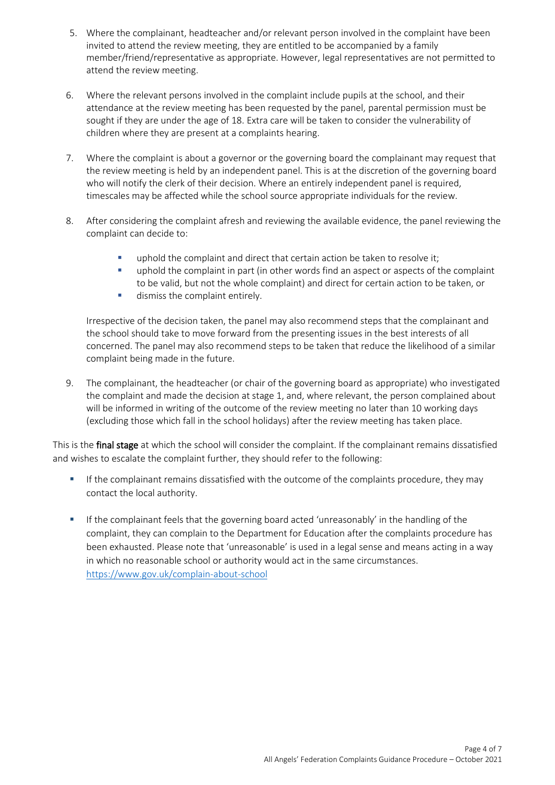- 5. Where the complainant, headteacher and/or relevant person involved in the complaint have been invited to attend the review meeting, they are entitled to be accompanied by a family member/friend/representative as appropriate. However, legal representatives are not permitted to attend the review meeting.
- 6. Where the relevant persons involved in the complaint include pupils at the school, and their attendance at the review meeting has been requested by the panel, parental permission must be sought if they are under the age of 18. Extra care will be taken to consider the vulnerability of children where they are present at a complaints hearing.
- 7. Where the complaint is about a governor or the governing board the complainant may request that the review meeting is held by an independent panel. This is at the discretion of the governing board who will notify the clerk of their decision. Where an entirely independent panel is required, timescales may be affected while the school source appropriate individuals for the review.
- 8. After considering the complaint afresh and reviewing the available evidence, the panel reviewing the complaint can decide to:
	- **•** uphold the complaint and direct that certain action be taken to resolve it;
	- **•** uphold the complaint in part (in other words find an aspect or aspects of the complaint to be valid, but not the whole complaint) and direct for certain action to be taken, or
	- **■** dismiss the complaint entirely.

Irrespective of the decision taken, the panel may also recommend steps that the complainant and the school should take to move forward from the presenting issues in the best interests of all concerned. The panel may also recommend steps to be taken that reduce the likelihood of a similar complaint being made in the future.

9. The complainant, the headteacher (or chair of the governing board as appropriate) who investigated the complaint and made the decision at stage 1, and, where relevant, the person complained about will be informed in writing of the outcome of the review meeting no later than 10 working days (excluding those which fall in the school holidays) after the review meeting has taken place.

This is the final stage at which the school will consider the complaint. If the complainant remains dissatisfied and wishes to escalate the complaint further, they should refer to the following:

- If the complainant remains dissatisfied with the outcome of the complaints procedure, they may contact the local authority.
- **■** If the complainant feels that the governing board acted 'unreasonably' in the handling of the complaint, they can complain to the Department for Education after the complaints procedure has been exhausted. Please note that 'unreasonable' is used in a legal sense and means acting in a way in which no reasonable school or authority would act in the same circumstances. <https://www.gov.uk/complain-about-school>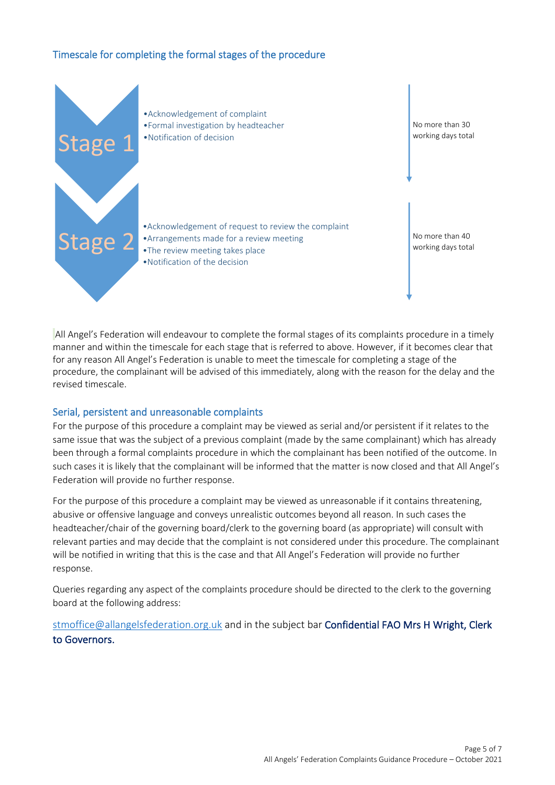#### Timescale for completing the formal stages of the procedure



All Angel's Federation will endeavour to complete the formal stages of its complaints procedure in a timely manner and within the timescale for each stage that is referred to above. However, if it becomes clear that for any reason All Angel's Federation is unable to meet the timescale for completing a stage of the procedure, the complainant will be advised of this immediately, along with the reason for the delay and the revised timescale.

#### Serial, persistent and unreasonable complaints

For the purpose of this procedure a complaint may be viewed as serial and/or persistent if it relates to the same issue that was the subject of a previous complaint (made by the same complainant) which has already been through a formal complaints procedure in which the complainant has been notified of the outcome. In such cases it is likely that the complainant will be informed that the matter is now closed and that All Angel's Federation will provide no further response.

For the purpose of this procedure a complaint may be viewed as unreasonable if it contains threatening, abusive or offensive language and conveys unrealistic outcomes beyond all reason. In such cases the headteacher/chair of the governing board/clerk to the governing board (as appropriate) will consult with relevant parties and may decide that the complaint is not considered under this procedure. The complainant will be notified in writing that this is the case and that All Angel's Federation will provide no further response.

Queries regarding any aspect of the complaints procedure should be directed to the clerk to the governing board at the following address:

[stmoffice@allangelsfederation.org.uk](mailto:stmoffice@allangelsfederation.org.uk) and in the subject bar Confidential FAO Mrs H Wright, Clerk to Governors.